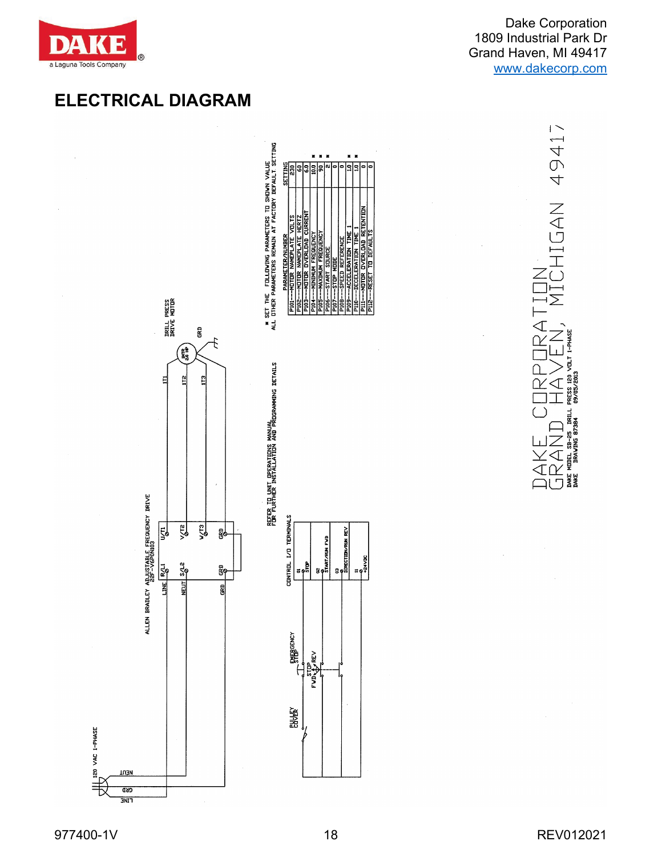

49417

NAUTHO

LON<br>UTCL<br>MTCL ⊣ี∑

◁

∩

ſγ

**PRESS 120**<br>09/05/2013

**DRILL** 

 $\bigcup_{\text{DAKE}} \bigotimes_{\text{MDEL}} \bigcap_{\text{S3D - 25}} \bigcup_{\text{DAKE}}$  $\overline{\mathcal{A}}$ 



## 977400-1V 18 REV012021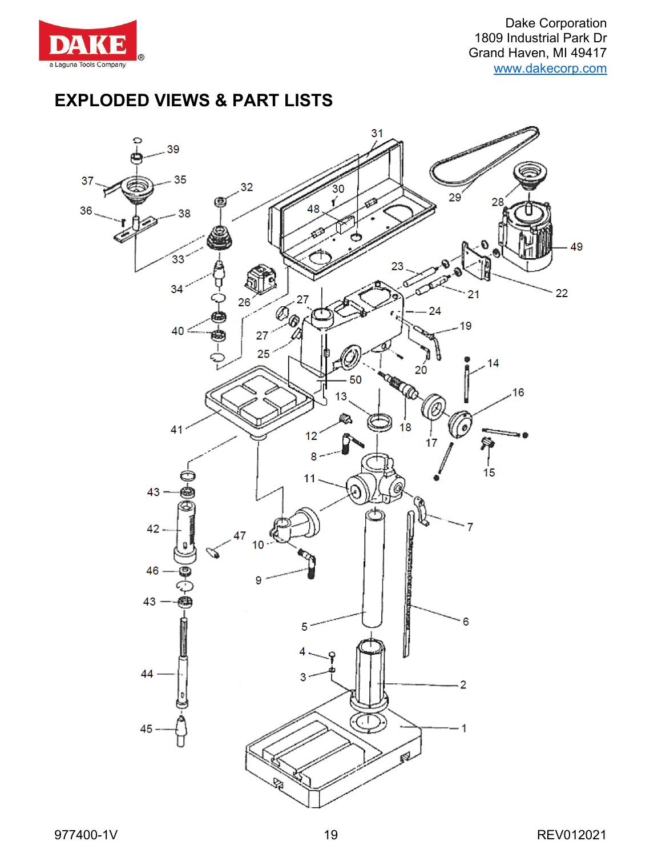

Dake Corporation 1809 Industrial Park Dr Grand Haven, MI 49417 [www.dakecorp.com](http://www.dakecorp.com/)

## **EXPLODED VIEWS & PART LISTS**

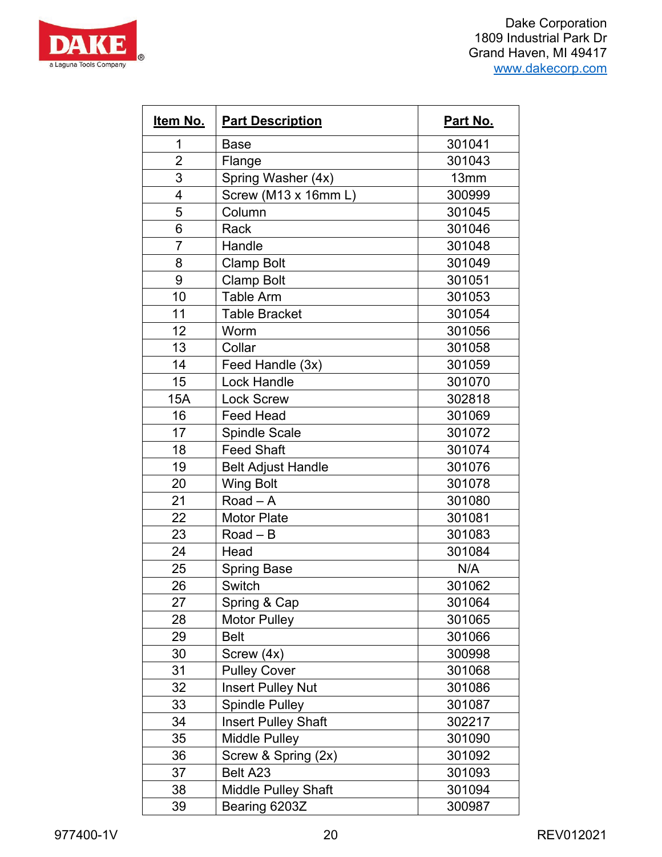



| Item No.       | <b>Part Description</b>    | Part No. |
|----------------|----------------------------|----------|
| 1              | <b>Base</b>                | 301041   |
| $\overline{2}$ | Flange                     | 301043   |
| 3              | Spring Washer (4x)         | 13mm     |
| 4              | Screw (M13 x 16mm L)       | 300999   |
| 5              | Column                     | 301045   |
| 6              | Rack                       | 301046   |
| $\overline{7}$ | Handle                     | 301048   |
| 8              | <b>Clamp Bolt</b>          | 301049   |
| 9              | <b>Clamp Bolt</b>          | 301051   |
| 10             | <b>Table Arm</b>           | 301053   |
| 11             | <b>Table Bracket</b>       | 301054   |
| 12             | Worm                       | 301056   |
| 13             | Collar                     | 301058   |
| 14             | Feed Handle (3x)           | 301059   |
| 15             | <b>Lock Handle</b>         | 301070   |
| <b>15A</b>     | <b>Lock Screw</b>          | 302818   |
| 16             | <b>Feed Head</b>           | 301069   |
| 17             | <b>Spindle Scale</b>       | 301072   |
| 18             | <b>Feed Shaft</b>          | 301074   |
| 19             | <b>Belt Adjust Handle</b>  | 301076   |
| 20             | <b>Wing Bolt</b>           | 301078   |
| 21             | Road $-$ A                 | 301080   |
| 22             | <b>Motor Plate</b>         | 301081   |
| 23             | $Read - B$                 | 301083   |
| 24             | Head                       | 301084   |
| 25             | <b>Spring Base</b>         | N/A      |
| 26             | Switch                     | 301062   |
| 27             | Spring & Cap               | 301064   |
| 28             | <b>Motor Pulley</b>        | 301065   |
| 29             | <b>Belt</b>                | 301066   |
| 30             | Screw (4x)                 | 300998   |
| 31             | <b>Pulley Cover</b>        | 301068   |
| 32             | <b>Insert Pulley Nut</b>   | 301086   |
| 33             | <b>Spindle Pulley</b>      | 301087   |
| 34             | <b>Insert Pulley Shaft</b> | 302217   |
| 35             | <b>Middle Pulley</b>       | 301090   |
| 36             | Screw & Spring (2x)        | 301092   |
| 37             | Belt A23                   | 301093   |
| 38             | <b>Middle Pulley Shaft</b> | 301094   |
| 39             | Bearing 6203Z              | 300987   |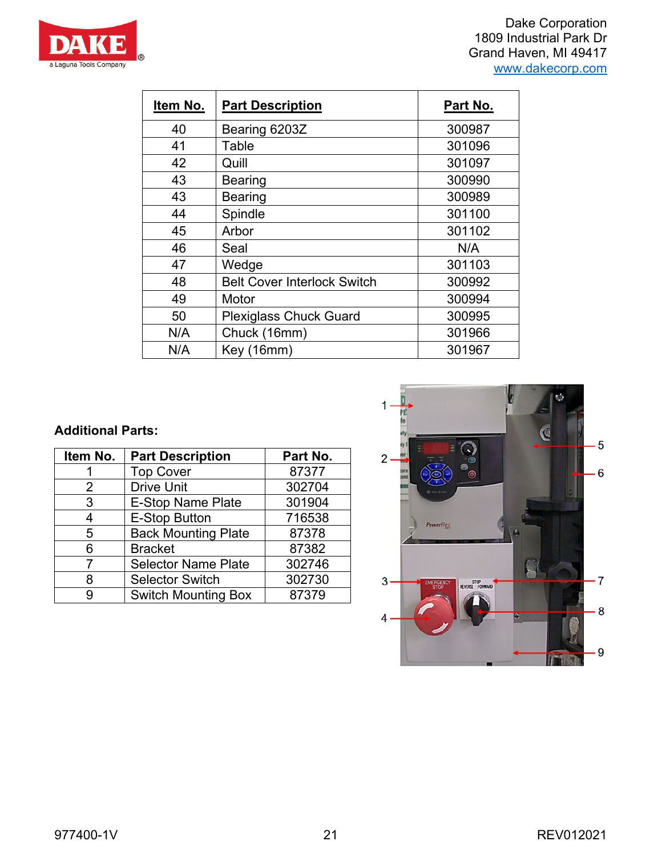

Dake Corporation 1809 Industrial Park Dr Grand Haven, MI 49417 [www.dakecorp.com](http://www.dakecorp.com/)

| Item No. | <b>Part Description</b>            | Part No. |
|----------|------------------------------------|----------|
| 40       | Bearing 6203Z                      | 300987   |
| 41       | Table                              | 301096   |
| 42       | Quill                              | 301097   |
| 43       | Bearing                            | 300990   |
| 43       | <b>Bearing</b>                     | 300989   |
| 44       | Spindle                            | 301100   |
| 45       | Arbor                              | 301102   |
| 46       | Seal                               | N/A      |
| 47       | Wedge                              | 301103   |
| 48       | <b>Belt Cover Interlock Switch</b> | 300992   |
| 49       | Motor                              | 300994   |
| 50       | <b>Plexiglass Chuck Guard</b>      | 300995   |
| N/A      | Chuck (16mm)                       | 301966   |
| N/A      | Key (16mm)                         | 301967   |

## **Additional Parts:**

| Item No.      | <b>Part Description</b>    | Part No. |
|---------------|----------------------------|----------|
|               | <b>Top Cover</b>           | 87377    |
| $\mathcal{P}$ | <b>Drive Unit</b>          | 302704   |
| 3             | <b>E-Stop Name Plate</b>   | 301904   |
| 4             | <b>E-Stop Button</b>       | 716538   |
| 5             | <b>Back Mounting Plate</b> | 87378    |
| 6             | <b>Bracket</b>             | 87382    |
|               | <b>Selector Name Plate</b> | 302746   |
| 8             | <b>Selector Switch</b>     | 302730   |
|               | <b>Switch Mounting Box</b> | 87379    |